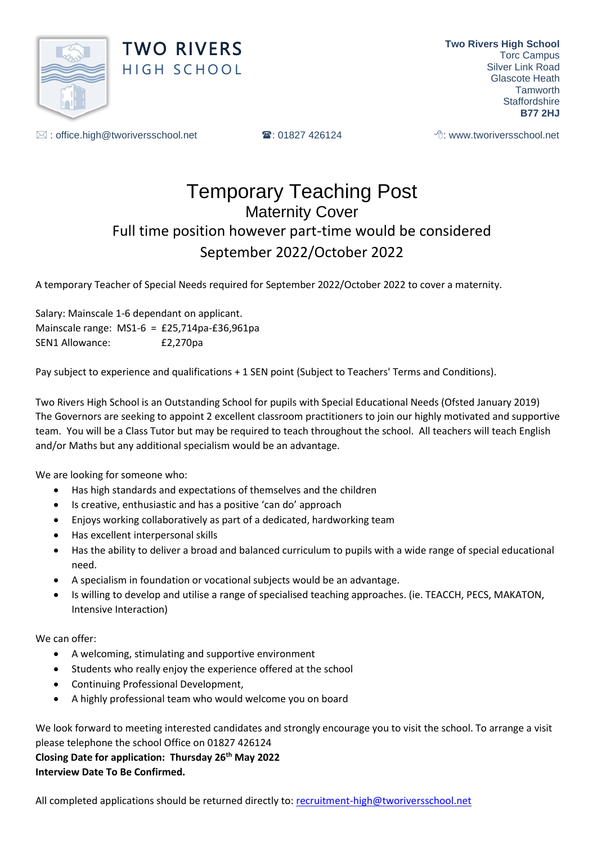

 $\boxtimes$ : office.high@tworiversschool.net  $\blacksquare$ : 01827 426124  $\blacksquare$ : www.tworiversschool.net

## Temporary Teaching Post Maternity Cover Full time position however part-time would be considered September 2022/October 2022

A temporary Teacher of Special Needs required for September 2022/October 2022 to cover a maternity.

Salary: Mainscale 1-6 dependant on applicant. Mainscale range: MS1-6 = £25,714pa-£36,961pa SEN1 Allowance: £2,270pa

Pay subject to experience and qualifications + 1 SEN point (Subject to Teachers' Terms and Conditions).

Two Rivers High School is an Outstanding School for pupils with Special Educational Needs (Ofsted January 2019) The Governors are seeking to appoint 2 excellent classroom practitioners to join our highly motivated and supportive team. You will be a Class Tutor but may be required to teach throughout the school. All teachers will teach English and/or Maths but any additional specialism would be an advantage.

We are looking for someone who:

- Has high standards and expectations of themselves and the children
- Is creative, enthusiastic and has a positive 'can do' approach
- Enjoys working collaboratively as part of a dedicated, hardworking team
- Has excellent interpersonal skills
- Has the ability to deliver a broad and balanced curriculum to pupils with a wide range of special educational need.
- A specialism in foundation or vocational subjects would be an advantage.
- Is willing to develop and utilise a range of specialised teaching approaches. (ie. TEACCH, PECS, MAKATON, Intensive Interaction)

We can offer:

- A welcoming, stimulating and supportive environment
- Students who really enjoy the experience offered at the school
- Continuing Professional Development,
- A highly professional team who would welcome you on board

We look forward to meeting interested candidates and strongly encourage you to visit the school. To arrange a visit please telephone the school Office on 01827 426124

**Closing Date for application: Thursday 26th May 2022 Interview Date To Be Confirmed.**

All completed applications should be returned directly to: [recruitment-high@tworiversschool.net](mailto:recruitment-high@tworiversschool.net)